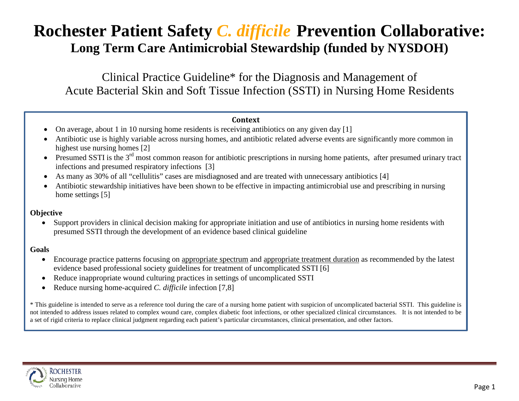# **Rochester Patient Safety** *C. difficile* **Prevention Collaborative: Long Term Care Antimicrobial Stewardship (funded by NYSDOH)**

Clinical Practice Guideline\* for the Diagnosis and Management of Acute Bacterial Skin and Soft Tissue Infection (SSTI) in Nursing Home Residents

#### **Context**

- On average, about 1 in 10 nursing home residents is receiving antibiotics on any given day [1]
- Antibiotic use is highly variable across nursing homes, and antibiotic related adverse events are significantly more common in highest use nursing homes [2]
- Presumed SSTI is the 3<sup>rd</sup> most common reason for antibiotic prescriptions in nursing home patients, after presumed urinary tract infections and presumed respiratory infections [3]
- As many as 30% of all "cellulitis" cases are misdiagnosed and are treated with unnecessary antibiotics [4]
- Antibiotic stewardship initiatives have been shown to be effective in impacting antimicrobial use and prescribing in nursing home settings [5]

#### **Objective**

• Support providers in clinical decision making for appropriate initiation and use of antibiotics in nursing home residents with presumed SSTI through the development of an evidence based clinical guideline

#### **Goals**

- Encourage practice patterns focusing on appropriate spectrum and appropriate treatment duration as recommended by the latest evidence based professional society guidelines for treatment of uncomplicated SSTI [6]
- Reduce inappropriate wound culturing practices in settings of uncomplicated SSTI
- Reduce nursing home-acquired *C. difficile* infection [7,8]

\* This guideline is intended to serve as a reference tool during the care of a nursing home patient with suspicion of uncomplicated bacterial SSTI. This guideline is not intended to address issues related to complex wound care, complex diabetic foot infections, or other specialized clinical circumstances. It is not intended to be a set of rigid criteria to replace clinical judgment regarding each patient's particular circumstances, clinical presentation, and other factors.

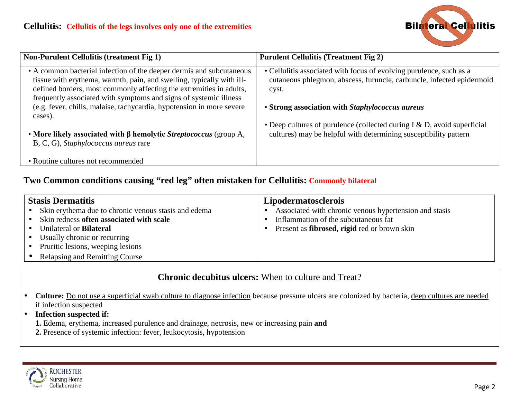

| <b>Non-Purulent Cellulitis (treatment Fig 1)</b>                                                                                                                                                                                                                                                                                                                              | <b>Purulent Cellulitis (Treatment Fig 2)</b>                                                                                                                                                             |  |
|-------------------------------------------------------------------------------------------------------------------------------------------------------------------------------------------------------------------------------------------------------------------------------------------------------------------------------------------------------------------------------|----------------------------------------------------------------------------------------------------------------------------------------------------------------------------------------------------------|--|
| • A common bacterial infection of the deeper dermis and subcutaneous<br>tissue with erythema, warmth, pain, and swelling, typically with ill-<br>defined borders, most commonly affecting the extremities in adults,<br>frequently associated with symptoms and signs of systemic illness<br>(e.g. fever, chills, malaise, tachycardia, hypotension in more severe<br>cases). | • Cellulitis associated with focus of evolving purulence, such as a<br>cutaneous phlegmon, abscess, furuncle, carbuncle, infected epidermoid<br>cyst.<br>• Strong association with Staphylococcus aureus |  |
| • More likely associated with $\beta$ hemolytic Streptococcus (group A,<br>B, C, G), Staphylococcus aureus rare<br>• Routine cultures not recommended                                                                                                                                                                                                                         | • Deep cultures of purulence (collected during $I & D$ , avoid superficial<br>cultures) may be helpful with determining susceptibility pattern                                                           |  |

### **Two Common conditions causing "red leg" often mistaken for Cellulitis: Commonly bilateral**

| <b>Stasis Dermatitis</b> |                                                      | <b>Lipodermatosclerois</b>                                  |  |
|--------------------------|------------------------------------------------------|-------------------------------------------------------------|--|
|                          | Skin erythema due to chronic venous stasis and edema | Associated with chronic venous hypertension and stasis      |  |
|                          | Skin redness often associated with scale             | Inflammation of the subcutaneous fat                        |  |
|                          | Unilateral or <b>Bilateral</b>                       | Present as <b>fibrosed</b> , <b>rigid</b> red or brown skin |  |
|                          | Usually chronic or recurring                         |                                                             |  |
|                          | Pruritic lesions, weeping lesions                    |                                                             |  |
|                          | <b>Relapsing and Remitting Course</b>                |                                                             |  |

**Chronic decubitus ulcers:** When to culture and Treat?

- Culture: <u>Do not use a superficial swab culture to diagnose infection</u> because pressure ulcers are colonized by bacteria, deep cultures are needed if infection suspected
- **Infection suspected if:**
	- **1.** Edema, erythema, increased purulence and drainage, necrosis, new or increasing pain **and**
	- **2.** Presence of systemic infection: fever, leukocytosis, hypotension

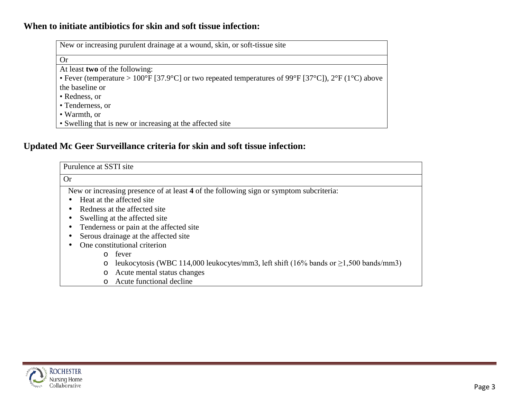## **When to initiate antibiotics for skin and soft tissue infection:**

| New or increasing purulent drainage at a wound, skin, or soft-tissue site                           |
|-----------------------------------------------------------------------------------------------------|
| <b>Or</b>                                                                                           |
| At least <b>two</b> of the following:                                                               |
| • Fever (temperature > 100°F [37.9°C] or two repeated temperatures of 99°F [37°C]), 2°F (1°C) above |
| the baseline or                                                                                     |
| • Redness, or                                                                                       |
| • Tenderness, or                                                                                    |
| • Warmth, or                                                                                        |
| • Swelling that is new or increasing at the affected site                                           |

## **Updated Mc Geer Surveillance criteria for skin and soft tissue infection:**

| Purulence at SSTI site                                                                                |  |  |
|-------------------------------------------------------------------------------------------------------|--|--|
| <b>Or</b>                                                                                             |  |  |
| New or increasing presence of at least 4 of the following sign or symptom subcriteria:                |  |  |
| Heat at the affected site                                                                             |  |  |
| Redness at the affected site                                                                          |  |  |
| Swelling at the affected site                                                                         |  |  |
| Tenderness or pain at the affected site                                                               |  |  |
| Serous drainage at the affected site                                                                  |  |  |
| One constitutional criterion                                                                          |  |  |
| fever<br>$\Omega$                                                                                     |  |  |
| leukocytosis (WBC 114,000 leukocytes/mm3, left shift (16% bands or $\geq$ 1,500 bands/mm3)<br>$\circ$ |  |  |
| Acute mental status changes<br>$\circ$                                                                |  |  |
| Acute functional decline<br>$\Omega$                                                                  |  |  |

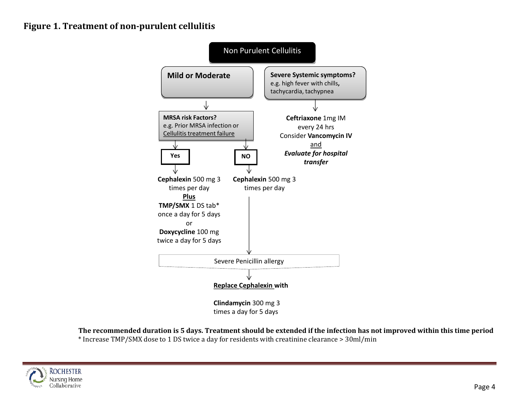## **Figure 1. Treatment of non-purulent cellulitis**



**The recommended duration is 5 days. Treatment should be extended if the infection has not improved within this time period** \* Increase TMP/SMX dose to 1 DS twice a day for residents with creatinine clearance > 30ml/min

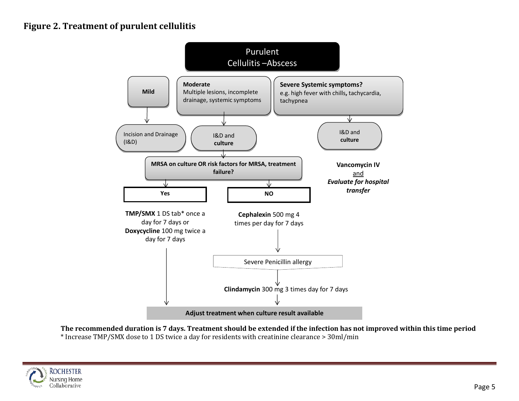## **Figure 2. Treatment of purulent cellulitis**



**The recommended duration is 7 days. Treatment should be extended if the infection has not improved within this time period** \* Increase TMP/SMX dose to 1 DS twice a day for residents with creatinine clearance > 30ml/min